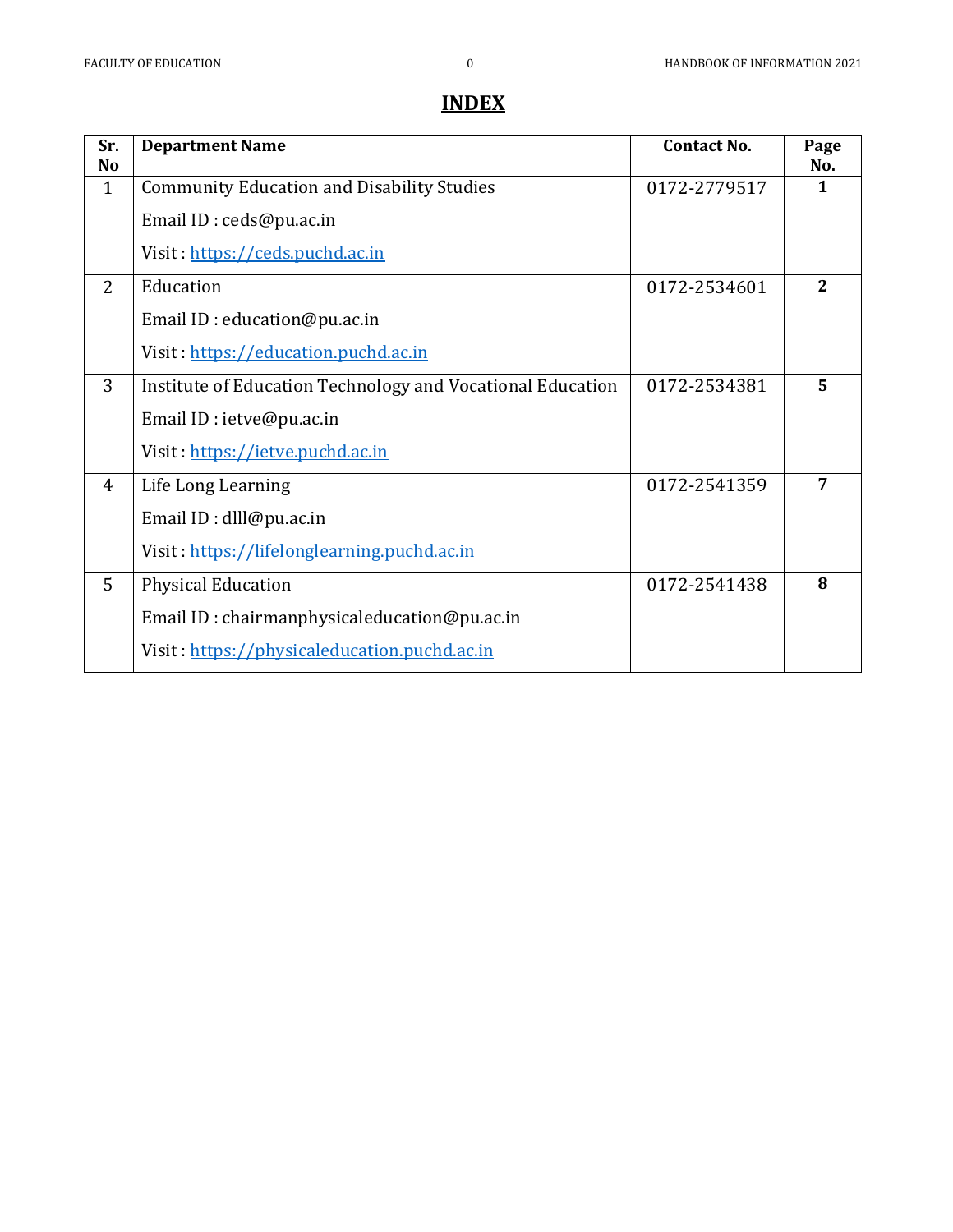# **INDEX**

| Sr.<br>No      | <b>Department Name</b>                                     | <b>Contact No.</b> | Page<br>No.  |
|----------------|------------------------------------------------------------|--------------------|--------------|
| $\mathbf{1}$   | <b>Community Education and Disability Studies</b>          | 0172-2779517       | $\mathbf{1}$ |
|                | Email ID: ceds@pu.ac.in                                    |                    |              |
|                | Visit: https://ceds.puchd.ac.in                            |                    |              |
| $\overline{2}$ | Education                                                  | 0172-2534601       | $\mathbf{2}$ |
|                | Email ID: education@pu.ac.in                               |                    |              |
|                | Visit: https://education.puchd.ac.in                       |                    |              |
| 3              | Institute of Education Technology and Vocational Education | 0172-2534381       | 5            |
|                | Email ID: ietve@pu.ac.in                                   |                    |              |
|                | Visit: https://ietve.puchd.ac.in                           |                    |              |
| $\overline{4}$ | Life Long Learning                                         | 0172-2541359       | 7            |
|                | Email ID: dlll@pu.ac.in                                    |                    |              |
|                | Visit: https://lifelonglearning.puchd.ac.in                |                    |              |
| 5              | <b>Physical Education</b>                                  | 0172-2541438       | 8            |
|                | Email ID: chairmanphysicaleducation@pu.ac.in               |                    |              |
|                | Visit: https://physicaleducation.puchd.ac.in               |                    |              |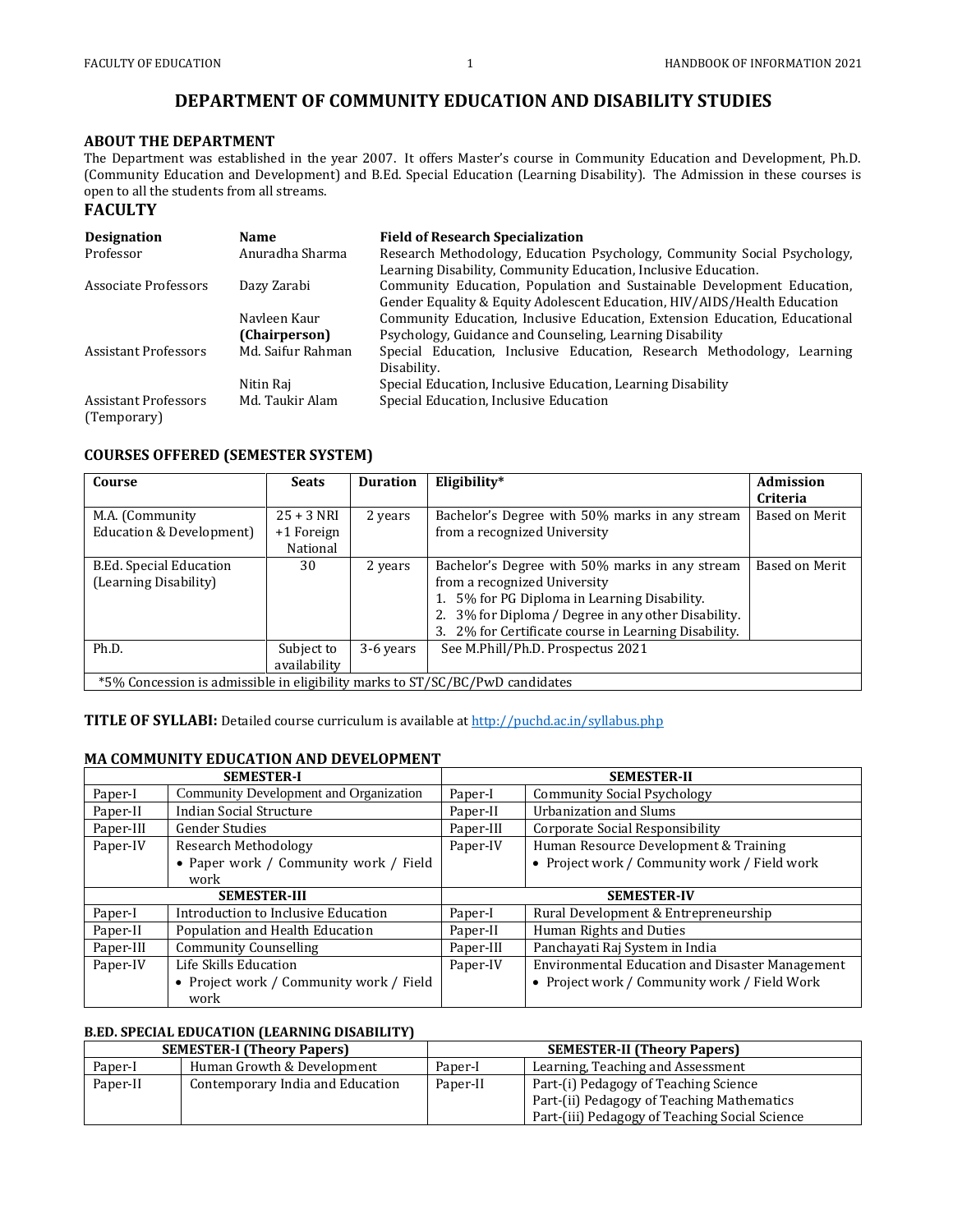## **DEPARTMENT OF COMMUNITY EDUCATION AND DISABILITY STUDIES**

## **ABOUT THE DEPARTMENT**

The Department was established in the year 2007. It offers Master's course in Community Education and Development, Ph.D. (Community Education and Development) and B.Ed. Special Education (Learning Disability). The Admission in these courses is open to all the students from all streams.

## **FACULTY**

| <b>Designation</b>          | <b>Name</b>       | <b>Field of Research Specialization</b>                                    |
|-----------------------------|-------------------|----------------------------------------------------------------------------|
| Professor                   | Anuradha Sharma   | Research Methodology, Education Psychology, Community Social Psychology,   |
|                             |                   | Learning Disability, Community Education, Inclusive Education.             |
| Associate Professors        | Dazy Zarabi       | Community Education, Population and Sustainable Development Education,     |
|                             |                   | Gender Equality & Equity Adolescent Education, HIV/AIDS/Health Education   |
|                             | Navleen Kaur      | Community Education, Inclusive Education, Extension Education, Educational |
|                             | (Chairperson)     | Psychology, Guidance and Counseling, Learning Disability                   |
| <b>Assistant Professors</b> | Md. Saifur Rahman | Special Education, Inclusive Education, Research Methodology, Learning     |
|                             |                   | Disability.                                                                |
|                             | Nitin Raj         | Special Education, Inclusive Education, Learning Disability                |
| <b>Assistant Professors</b> | Md. Taukir Alam   | Special Education, Inclusive Education                                     |
| (Temporary)                 |                   |                                                                            |

## **COURSES OFFERED (SEMESTER SYSTEM)**

| Course                                                                       | <b>Seats</b> | <b>Duration</b> | Eligibility*                                         | <b>Admission</b> |
|------------------------------------------------------------------------------|--------------|-----------------|------------------------------------------------------|------------------|
|                                                                              |              |                 |                                                      | Criteria         |
| M.A. (Community                                                              | $25 + 3$ NRI | 2 years         | Bachelor's Degree with 50% marks in any stream       | Based on Merit   |
| Education & Development)                                                     | $+1$ Foreign |                 | from a recognized University                         |                  |
|                                                                              | National     |                 |                                                      |                  |
| <b>B.Ed. Special Education</b>                                               | 30           | 2 years         | Bachelor's Degree with 50% marks in any stream       | Based on Merit   |
| (Learning Disability)                                                        |              |                 | from a recognized University                         |                  |
|                                                                              |              |                 | 5% for PG Diploma in Learning Disability.            |                  |
|                                                                              |              |                 | 2. 3% for Diploma / Degree in any other Disability.  |                  |
|                                                                              |              |                 | 3. 2% for Certificate course in Learning Disability. |                  |
| Ph.D.                                                                        | Subject to   | 3-6 years       | See M.Phill/Ph.D. Prospectus 2021                    |                  |
|                                                                              | availability |                 |                                                      |                  |
| *5% Concession is admissible in eligibility marks to ST/SC/BC/PwD candidates |              |                 |                                                      |                  |

**TITLE OF SYLLABI:** Detailed course curriculum is available a[t http://puchd.ac.in/syllabus.php](http://puchd.ac.in/syllabus.php)

#### **MA COMMUNITY EDUCATION AND DEVELOPMENT**

| <b>SEMESTER-I</b>   |                                        |           | <b>SEMESTER-II</b>                              |
|---------------------|----------------------------------------|-----------|-------------------------------------------------|
| Paper-I             | Community Development and Organization | Paper-I   | <b>Community Social Psychology</b>              |
| Paper-II            | <b>Indian Social Structure</b>         | Paper-II  | Urbanization and Slums                          |
| Paper-III           | <b>Gender Studies</b>                  | Paper-III | Corporate Social Responsibility                 |
| Paper-IV            | <b>Research Methodology</b>            | Paper-IV  | Human Resource Development & Training           |
|                     | • Paper work / Community work / Field  |           | • Project work / Community work / Field work    |
|                     | work                                   |           |                                                 |
| <b>SEMESTER-III</b> |                                        |           |                                                 |
|                     |                                        |           | <b>SEMESTER-IV</b>                              |
| Paper-I             | Introduction to Inclusive Education    | Paper-I   | Rural Development & Entrepreneurship            |
| Paper-II            | Population and Health Education        | Paper-II  | Human Rights and Duties                         |
| Paper-III           | <b>Community Counselling</b>           | Paper-III | Panchayati Raj System in India                  |
| Paper-IV            | Life Skills Education                  | Paper-IV  | Environmental Education and Disaster Management |

## **B.ED. SPECIAL EDUCATION (LEARNING DISABILITY)**

|          | <b>SEMESTER-I (Theory Papers)</b> |          | <b>SEMESTER-II (Theory Papers)</b>             |
|----------|-----------------------------------|----------|------------------------------------------------|
| Paper-I  | Human Growth & Development        | Paper-I  | Learning, Teaching and Assessment              |
| Paper-II | Contemporary India and Education  | Paper-II | Part-(i) Pedagogy of Teaching Science          |
|          |                                   |          | Part-(ii) Pedagogy of Teaching Mathematics     |
|          |                                   |          | Part-(iii) Pedagogy of Teaching Social Science |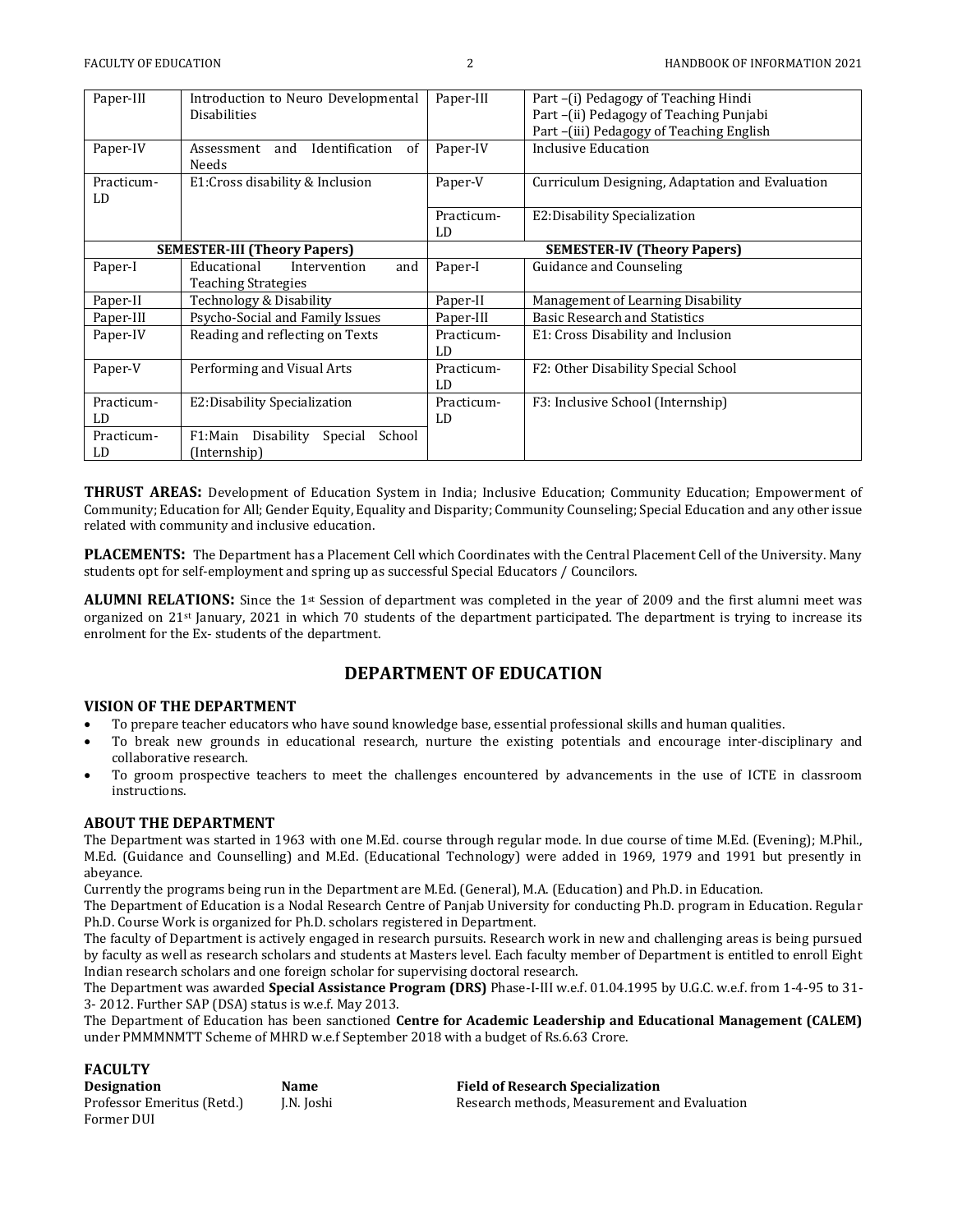| Paper-III        | Introduction to Neuro Developmental<br><b>Disabilities</b>       | Paper-III        | Part –(i) Pedagogy of Teaching Hindi<br>Part-(ii) Pedagogy of Teaching Punjabi<br>Part-(iii) Pedagogy of Teaching English |
|------------------|------------------------------------------------------------------|------------------|---------------------------------------------------------------------------------------------------------------------------|
| Paper-IV         | Identification<br>and<br>of<br>Assessment<br>Needs               | Paper-IV         | Inclusive Education                                                                                                       |
| Practicum-<br>LD | E1: Cross disability & Inclusion                                 | Paper-V          | Curriculum Designing, Adaptation and Evaluation                                                                           |
|                  |                                                                  | Practicum-<br>LD | E2: Disability Specialization                                                                                             |
|                  | <b>SEMESTER-III (Theory Papers)</b>                              |                  | <b>SEMESTER-IV (Theory Papers)</b>                                                                                        |
| Paper-I          | Educational<br>and<br>Intervention<br><b>Teaching Strategies</b> | Paper-I          | Guidance and Counseling                                                                                                   |
| Paper-II         | Technology & Disability                                          | Paper-II         | Management of Learning Disability                                                                                         |
| Paper-III        | Psycho-Social and Family Issues                                  | Paper-III        | <b>Basic Research and Statistics</b>                                                                                      |
| Paper-IV         | Reading and reflecting on Texts                                  | Practicum-<br>LD | E1: Cross Disability and Inclusion                                                                                        |
| Paper-V          | Performing and Visual Arts                                       | Practicum-<br>LD | F2: Other Disability Special School                                                                                       |
| Practicum-<br>LD | E2: Disability Specialization                                    | Practicum-<br>LD | F3: Inclusive School (Internship)                                                                                         |
| Practicum-<br>LD | Special<br>F1:Main<br>Disability<br>School<br>(Internship)       |                  |                                                                                                                           |

**THRUST AREAS:** Development of Education System in India; Inclusive Education; Community Education; Empowerment of Community; Education for All; Gender Equity, Equality and Disparity; Community Counseling; Special Education and any other issue related with community and inclusive education.

**PLACEMENTS:** The Department has a Placement Cell which Coordinates with the Central Placement Cell of the University. Many students opt for self-employment and spring up as successful Special Educators / Councilors.

**ALUMNI RELATIONS:** Since the 1st Session of department was completed in the year of 2009 and the first alumni meet was organized on 21st January, 2021 in which 70 students of the department participated. The department is trying to increase its enrolment for the Ex- students of the department.

## **DEPARTMENT OF EDUCATION**

## **VISION OF THE DEPARTMENT**

- To prepare teacher educators who have sound knowledge base, essential professional skills and human qualities.
- To break new grounds in educational research, nurture the existing potentials and encourage inter-disciplinary and collaborative research.
- To groom prospective teachers to meet the challenges encountered by advancements in the use of ICTE in classroom instructions.

## **ABOUT THE DEPARTMENT**

The Department was started in 1963 with one M.Ed. course through regular mode. In due course of time M.Ed. (Evening); M.Phil., M.Ed. (Guidance and Counselling) and M.Ed. (Educational Technology) were added in 1969, 1979 and 1991 but presently in abeyance.

Currently the programs being run in the Department are M.Ed. (General), M.A. (Education) and Ph.D. in Education.

The Department of Education is a Nodal Research Centre of Panjab University for conducting Ph.D. program in Education. Regular Ph.D. Course Work is organized for Ph.D. scholars registered in Department.

The faculty of Department is actively engaged in research pursuits. Research work in new and challenging areas is being pursued by faculty as well as research scholars and students at Masters level. Each faculty member of Department is entitled to enroll Eight Indian research scholars and one foreign scholar for supervising doctoral research.

The Department was awarded **Special Assistance Program (DRS)** Phase-I-III w.e.f. 01.04.1995 by U.G.C. w.e.f. from 1-4-95 to 31- 3- 2012. Further SAP (DSA) status is w.e.f. May 2013.

The Department of Education has been sanctioned **Centre for Academic Leadership and Educational Management (CALEM)**  under PMMMNMTT Scheme of MHRD w.e.f September 2018 with a budget of Rs.6.63 Crore.

## **FACULTY**

| <b>Designation</b>         | <b>Name</b> | <b>Field of Research Specialization</b>      |
|----------------------------|-------------|----------------------------------------------|
| Professor Emeritus (Retd.) | J.N. Joshi  | Research methods, Measurement and Evaluation |
| Former DUI                 |             |                                              |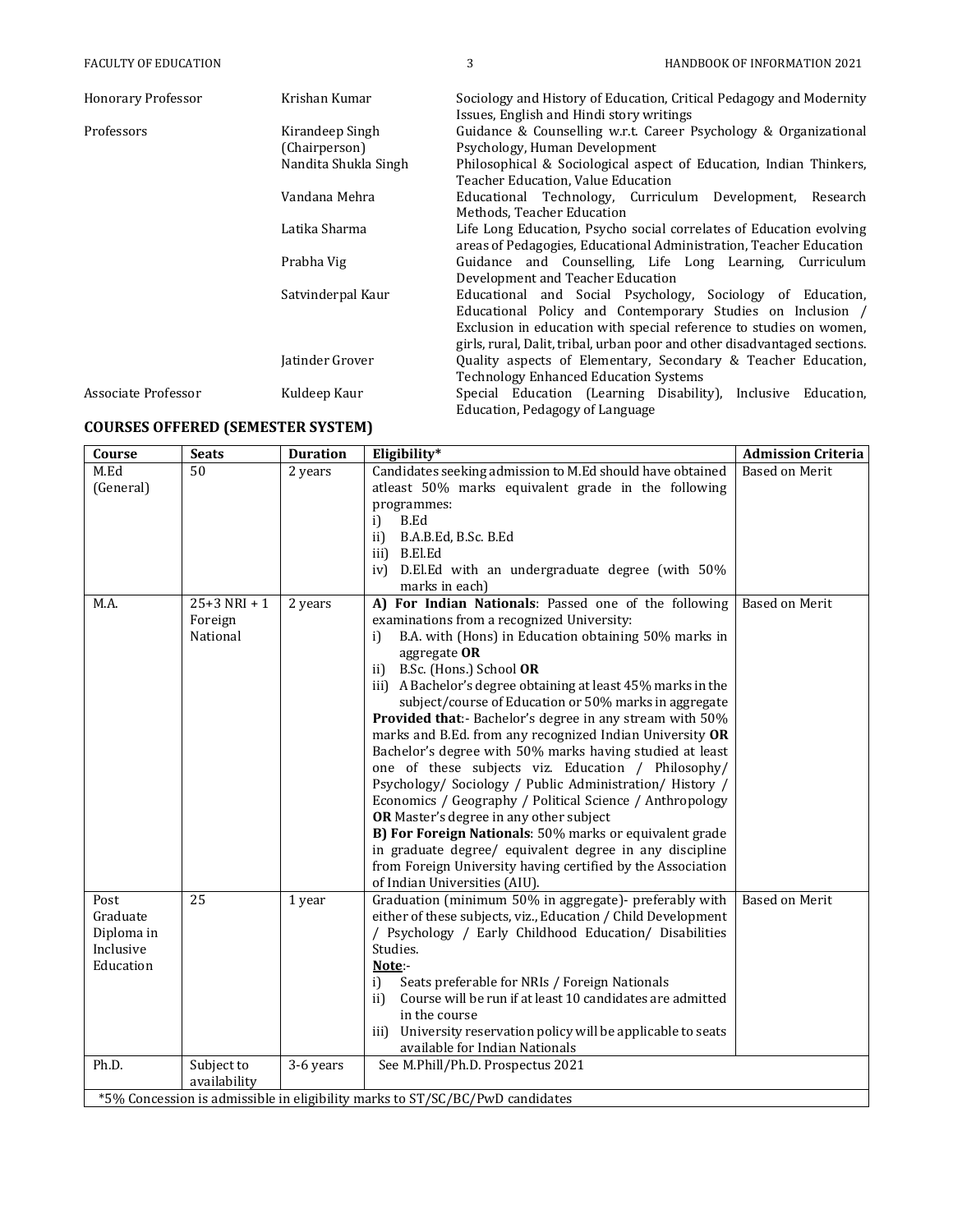| <b>Honorary Professor</b> | Krishan Kumar        | Sociology and History of Education, Critical Pedagogy and Modernity<br>Issues, English and Hindi story writings |
|---------------------------|----------------------|-----------------------------------------------------------------------------------------------------------------|
| Professors                | Kirandeep Singh      | Guidance & Counselling w.r.t. Career Psychology & Organizational                                                |
|                           | (Chairperson)        | Psychology, Human Development                                                                                   |
|                           | Nandita Shukla Singh | Philosophical & Sociological aspect of Education, Indian Thinkers,                                              |
|                           |                      | Teacher Education, Value Education                                                                              |
|                           | Vandana Mehra        | Educational Technology, Curriculum Development, Research                                                        |
|                           |                      | Methods, Teacher Education                                                                                      |
|                           | Latika Sharma        | Life Long Education, Psycho social correlates of Education evolving                                             |
|                           |                      | areas of Pedagogies, Educational Administration, Teacher Education                                              |
|                           | Prabha Vig           | Guidance and Counselling, Life Long Learning, Curriculum                                                        |
|                           |                      | Development and Teacher Education                                                                               |
|                           | Satvinderpal Kaur    | Educational and Social Psychology, Sociology of Education,                                                      |
|                           |                      | Educational Policy and Contemporary Studies on Inclusion /                                                      |
|                           |                      | Exclusion in education with special reference to studies on women,                                              |
|                           |                      | girls, rural, Dalit, tribal, urban poor and other disadvantaged sections.                                       |
|                           | Jatinder Grover      | Quality aspects of Elementary, Secondary & Teacher Education,                                                   |
|                           |                      | <b>Technology Enhanced Education Systems</b>                                                                    |
| Associate Professor       | Kuldeep Kaur         | Special Education (Learning Disability), Inclusive Education,                                                   |
|                           |                      | Education, Pedagogy of Language                                                                                 |

## **COURSES OFFERED (SEMESTER SYSTEM)**

**Course Seats Duration Eligibility\* Admission Criteria** M.Ed (General) 50 2 years Candidates seeking admission to M.Ed should have obtained atleast 50% marks equivalent grade in the following programmes: i) B.Ed ii) B.A.B.Ed, B.Sc. B.Ed iii) B.El.Ed iv) D.El.Ed with an undergraduate degree (with 50% marks in each) Based on Merit M.A.  $\vert$  25+3 NRI + 1 Foreign National 2 years **A) For Indian Nationals**: Passed one of the following examinations from a recognized University: i) B.A. with (Hons) in Education obtaining 50% marks in aggregate **OR**  ii) B.Sc. (Hons.) School **OR**  iii) A Bachelor's degree obtaining at least 45% marks in the subject/course of Education or 50% marks in aggregate **Provided that**:- Bachelor's degree in any stream with 50% marks and B.Ed. from any recognized Indian University **OR**  Bachelor's degree with 50% marks having studied at least one of these subjects viz. Education / Philosophy/ Psychology/ Sociology / Public Administration/ History / Economics / Geography / Political Science / Anthropology **OR** Master's degree in any other subject **B) For Foreign Nationals**: 50% marks or equivalent grade in graduate degree/ equivalent degree in any discipline from Foreign University having certified by the Association of Indian Universities (AIU). Based on Merit Post Graduate Diploma in Inclusive Education 25 1 year Graduation (minimum 50% in aggregate)- preferably with either of these subjects, viz., Education / Child Development / Psychology / Early Childhood Education/ Disabilities Studies. **Note**: i) Seats preferable for NRIs / Foreign Nationals ii) Course will be run if at least 10 candidates are admitted in the course iii) University reservation policy will be applicable to seats available for Indian Nationals Based on Merit Ph.D. Subject to availability 3-6 years See M.Phill/Ph.D. Prospectus 2021 \*5% Concession is admissible in eligibility marks to ST/SC/BC/PwD candidates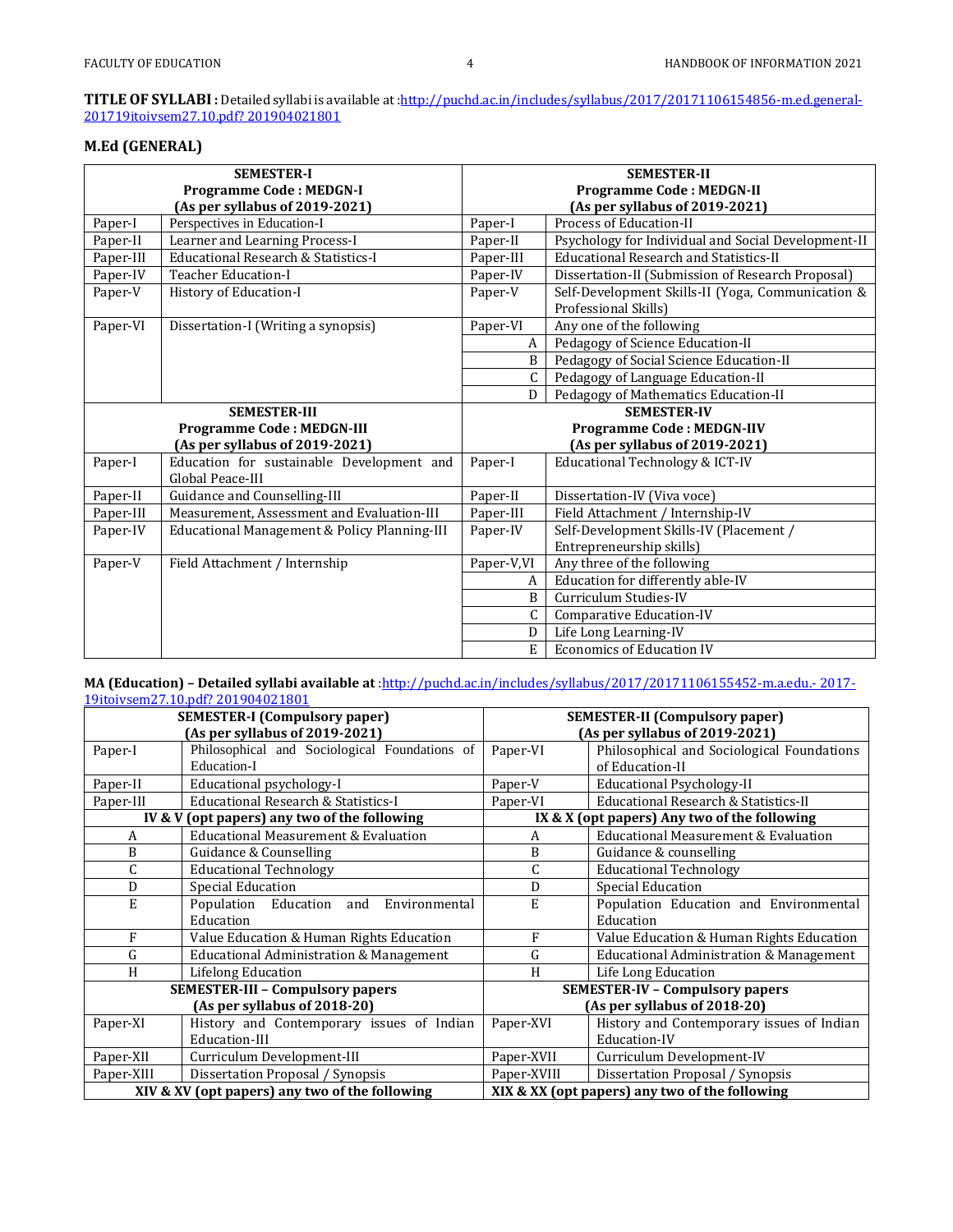## **TITLE OF SYLLABI :** Detailed syllabi is available a[t :http://puchd.ac.in/includes/syllabus/2017/20171106154856-m.ed.general-](http://puchd.ac.in/includes/syllabus/2017/20171106154856-m.ed.general-2017-19itoivsem27.10.pdf?201904021801)[201719itoivsem27.10.pdf? 201904021801](http://puchd.ac.in/includes/syllabus/2017/20171106154856-m.ed.general-2017-19itoivsem27.10.pdf?201904021801)

## **M.Ed (GENERAL)**

| <b>SEMESTER-I</b>              |                                                               |                                 | <b>SEMESTER-II</b>                                  |  |
|--------------------------------|---------------------------------------------------------------|---------------------------------|-----------------------------------------------------|--|
|                                | <b>Programme Code: MEDGN-I</b>                                | <b>Programme Code: MEDGN-II</b> |                                                     |  |
| (As per syllabus of 2019-2021) |                                                               |                                 | (As per syllabus of 2019-2021)                      |  |
| Paper-I                        | Perspectives in Education-I                                   | Paper-I                         | Process of Education-II                             |  |
| Paper-II                       | Learner and Learning Process-I                                | Paper-II                        | Psychology for Individual and Social Development-II |  |
| Paper-III                      | Educational Research & Statistics-I                           | Paper-III                       | <b>Educational Research and Statistics-II</b>       |  |
| Paper-IV                       | <b>Teacher Education-I</b>                                    | Paper-IV                        | Dissertation-II (Submission of Research Proposal)   |  |
| Paper-V                        | History of Education-I                                        | Paper-V                         | Self-Development Skills-II (Yoga, Communication &   |  |
|                                |                                                               |                                 | Professional Skills)                                |  |
| Paper-VI                       | Dissertation-I (Writing a synopsis)                           | Paper-VI                        | Any one of the following                            |  |
|                                |                                                               | A                               | Pedagogy of Science Education-II                    |  |
|                                |                                                               | B                               | Pedagogy of Social Science Education-II             |  |
|                                |                                                               | C                               | Pedagogy of Language Education-II                   |  |
|                                |                                                               | D                               | Pedagogy of Mathematics Education-II                |  |
| <b>SEMESTER-III</b>            |                                                               |                                 | <b>SEMESTER-IV</b>                                  |  |
|                                | <b>Programme Code: MEDGN-III</b>                              |                                 | <b>Programme Code: MEDGN-IIV</b>                    |  |
|                                | (As per syllabus of 2019-2021)                                |                                 | (As per syllabus of 2019-2021)                      |  |
| Paper-I                        | Education for sustainable Development and<br>Global Peace-III | Paper-I                         | Educational Technology & ICT-IV                     |  |
| Paper-II                       | Guidance and Counselling-III                                  | Paper-II                        | Dissertation-IV (Viva voce)                         |  |
| Paper-III                      | Measurement, Assessment and Evaluation-III                    | Paper-III                       | Field Attachment / Internship-IV                    |  |
| Paper-IV                       | Educational Management & Policy Planning-III                  | Paper-IV                        | Self-Development Skills-IV (Placement /             |  |
|                                |                                                               |                                 | Entrepreneurship skills)                            |  |
| Paper-V                        | Field Attachment / Internship                                 | Paper-V,VI                      | Any three of the following                          |  |
|                                |                                                               | A                               | Education for differently able-IV                   |  |
|                                |                                                               | B                               | Curriculum Studies-IV                               |  |
|                                |                                                               | C                               | Comparative Education-IV                            |  |
|                                |                                                               | D                               | Life Long Learning-IV                               |  |
|                                |                                                               | E                               | <b>Economics of Education IV</b>                    |  |

#### **MA (Education) – Detailed syllabi available at** [:http://puchd.ac.in/includes/syllabus/2017/20171106155452-m.a.edu.-](http://puchd.ac.in/includes/syllabus/2017/20171106155452-m.a.edu.-2017-19itoivsem27.10.pdf?201904021801) [2017-](http://puchd.ac.in/includes/syllabus/2017/20171106155452-m.a.edu.-2017-19itoivsem27.10.pdf?201904021801) [19itoivsem27.10.pdf?](http://puchd.ac.in/includes/syllabus/2017/20171106155452-m.a.edu.-2017-19itoivsem27.10.pdf?201904021801) 201904021801

| <b>SEMESTER-I (Compulsory paper)</b>           |                                               | <b>SEMESTER-II (Compulsory paper)</b> |                                                |
|------------------------------------------------|-----------------------------------------------|---------------------------------------|------------------------------------------------|
| (As per syllabus of 2019-2021)                 |                                               |                                       | (As per syllabus of 2019-2021)                 |
| Paper-I                                        | Philosophical and Sociological Foundations of | Paper-VI                              | Philosophical and Sociological Foundations     |
|                                                | Education-I                                   |                                       | of Education-II                                |
| Paper-II                                       | Educational psychology-I                      | Paper-V                               | <b>Educational Psychology-II</b>               |
| Paper-III                                      | Educational Research & Statistics-I           | Paper-VI                              | Educational Research & Statistics-II           |
|                                                | IV & V (opt papers) any two of the following  |                                       | IX & X (opt papers) Any two of the following   |
| A                                              | Educational Measurement & Evaluation          | А                                     | Educational Measurement & Evaluation           |
| B                                              | Guidance & Counselling                        | B                                     | Guidance & counselling                         |
| C                                              | <b>Educational Technology</b>                 | C                                     | <b>Educational Technology</b>                  |
| D                                              | Special Education                             | D                                     | Special Education                              |
| E                                              | Population Education<br>Environmental<br>and  | E                                     | Population Education and Environmental         |
|                                                | Education                                     |                                       | Education                                      |
| F                                              | Value Education & Human Rights Education      | F                                     | Value Education & Human Rights Education       |
| G                                              | Educational Administration & Management       | G                                     | Educational Administration & Management        |
| H                                              | Lifelong Education                            | H                                     | Life Long Education                            |
|                                                | <b>SEMESTER-III - Compulsory papers</b>       |                                       | <b>SEMESTER-IV - Compulsory papers</b>         |
|                                                | (As per syllabus of 2018-20)                  |                                       | (As per syllabus of 2018-20)                   |
| Paper-XI                                       | History and Contemporary issues of Indian     | Paper-XVI                             | History and Contemporary issues of Indian      |
|                                                | Education-III                                 |                                       | Education-IV                                   |
| Paper-XII                                      | Curriculum Development-III                    | Paper-XVII                            | Curriculum Development-IV                      |
| Paper-XIII                                     | Dissertation Proposal / Synopsis              | Paper-XVIII                           | Dissertation Proposal / Synopsis               |
| XIV & XV (opt papers) any two of the following |                                               |                                       | XIX & XX (opt papers) any two of the following |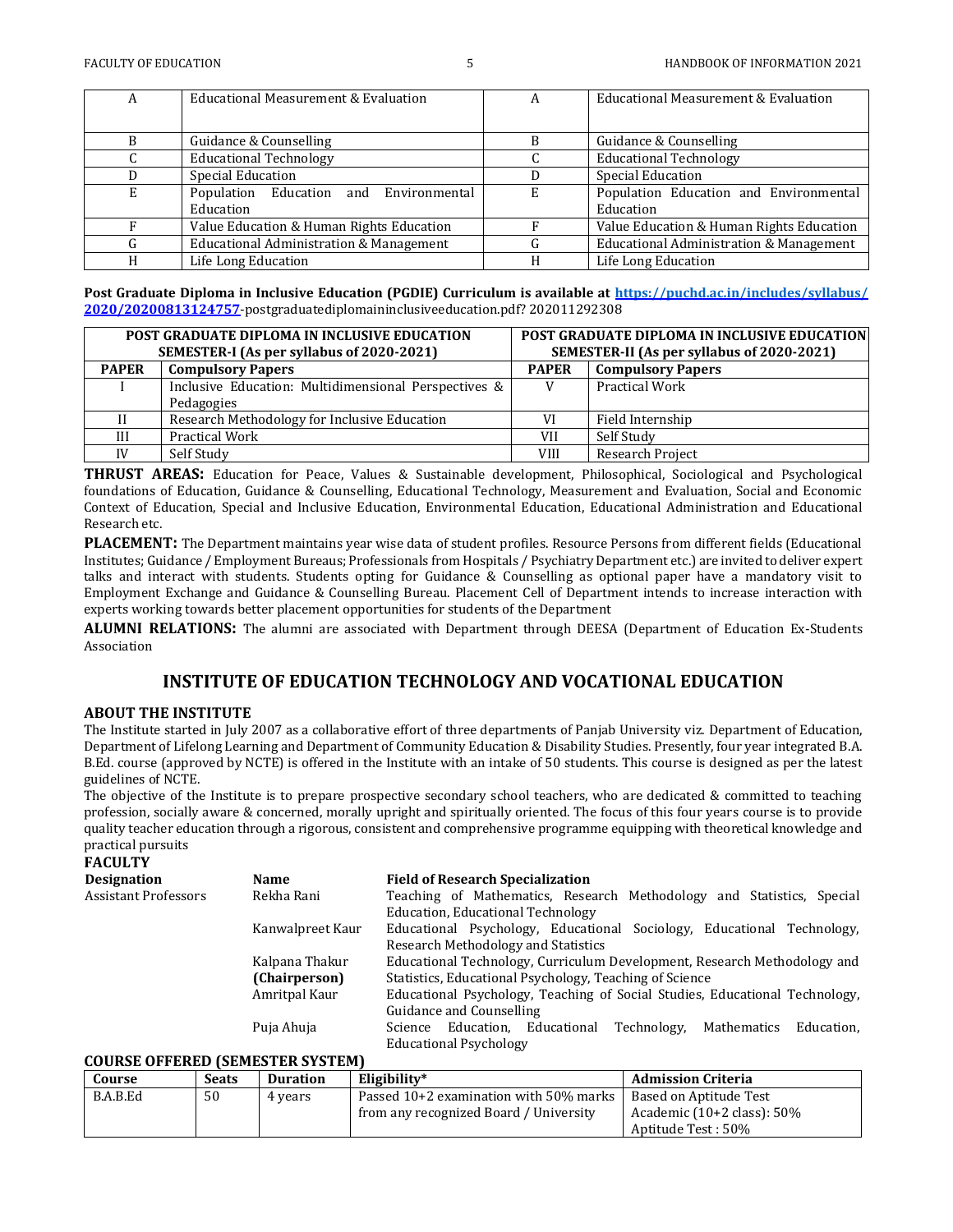| A | Educational Measurement & Evaluation                | А | Educational Measurement & Evaluation                |
|---|-----------------------------------------------------|---|-----------------------------------------------------|
| B | Guidance & Counselling                              |   | Guidance & Counselling                              |
|   | <b>Educational Technology</b>                       |   | <b>Educational Technology</b>                       |
|   | Special Education                                   |   | Special Education                                   |
| E | Population Education and Environmental<br>Education | E | Population Education and Environmental<br>Education |
|   | Value Education & Human Rights Education            |   | Value Education & Human Rights Education            |
|   | Educational Administration & Management             |   | Educational Administration & Management             |
| H | Life Long Education                                 |   | Life Long Education                                 |

**Post Graduate Diploma in Inclusive Education (PGDIE) Curriculum is available at<https://puchd.ac.in/includes/syllabus/> 2020/20200813124757**-postgraduatediplomaininclusiveeducation.pdf? 202011292308

| <b>POST GRADUATE DIPLOMA IN INCLUSIVE EDUCATION</b><br>SEMESTER-I (As per syllabus of 2020-2021) |                                                      |              | <b>POST GRADUATE DIPLOMA IN INCLUSIVE EDUCATION</b><br><b>SEMESTER-II (As per syllabus of 2020-2021)</b> |
|--------------------------------------------------------------------------------------------------|------------------------------------------------------|--------------|----------------------------------------------------------------------------------------------------------|
| <b>PAPER</b>                                                                                     | <b>Compulsory Papers</b>                             | <b>PAPER</b> | <b>Compulsory Papers</b>                                                                                 |
|                                                                                                  | Inclusive Education: Multidimensional Perspectives & |              | <b>Practical Work</b>                                                                                    |
|                                                                                                  | Pedagogies                                           |              |                                                                                                          |
|                                                                                                  | Research Methodology for Inclusive Education         | VI           | Field Internship                                                                                         |
| III                                                                                              | Practical Work                                       | VII          | Self Study                                                                                               |
| IV                                                                                               | Self Study                                           | VIII         | <b>Research Project</b>                                                                                  |

**THRUST AREAS:** Education for Peace, Values & Sustainable development, Philosophical, Sociological and Psychological foundations of Education, Guidance & Counselling, Educational Technology, Measurement and Evaluation, Social and Economic Context of Education, Special and Inclusive Education, Environmental Education, Educational Administration and Educational Research etc.

**PLACEMENT:** The Department maintains year wise data of student profiles. Resource Persons from different fields (Educational Institutes; Guidance / Employment Bureaus; Professionals from Hospitals / Psychiatry Department etc.) are invited to deliver expert talks and interact with students. Students opting for Guidance & Counselling as optional paper have a mandatory visit to Employment Exchange and Guidance & Counselling Bureau. Placement Cell of Department intends to increase interaction with experts working towards better placement opportunities for students of the Department

**ALUMNI RELATIONS:** The alumni are associated with Department through DEESA (Department of Education Ex-Students Association

## **INSTITUTE OF EDUCATION TECHNOLOGY AND VOCATIONAL EDUCATION**

#### **ABOUT THE INSTITUTE**

The Institute started in July 2007 as a collaborative effort of three departments of Panjab University viz. Department of Education, Department of Lifelong Learning and Department of Community Education & Disability Studies. Presently, four year integrated B.A. B.Ed. course (approved by NCTE) is offered in the Institute with an intake of 50 students. This course is designed as per the latest guidelines of NCTE.

The objective of the Institute is to prepare prospective secondary school teachers, who are dedicated & committed to teaching profession, socially aware & concerned, morally upright and spiritually oriented. The focus of this four years course is to provide quality teacher education through a rigorous, consistent and comprehensive programme equipping with theoretical knowledge and practical pursuits

## **FACULTY**

| Designation                      | <b>Name</b>      | <b>Field of Research Specialization</b>                                     |  |  |  |  |  |
|----------------------------------|------------------|-----------------------------------------------------------------------------|--|--|--|--|--|
| Assistant Professors             | Rekha Rani       | Teaching of Mathematics, Research Methodology and Statistics, Special       |  |  |  |  |  |
|                                  |                  | Education, Educational Technology                                           |  |  |  |  |  |
|                                  | Kanwalpreet Kaur | Educational Psychology, Educational Sociology, Educational Technology,      |  |  |  |  |  |
|                                  |                  | Research Methodology and Statistics                                         |  |  |  |  |  |
|                                  | Kalpana Thakur   | Educational Technology, Curriculum Development, Research Methodology and    |  |  |  |  |  |
|                                  | (Chairperson)    | Statistics, Educational Psychology, Teaching of Science                     |  |  |  |  |  |
|                                  | Amritpal Kaur    | Educational Psychology, Teaching of Social Studies, Educational Technology, |  |  |  |  |  |
|                                  |                  | Guidance and Counselling                                                    |  |  |  |  |  |
|                                  | Puja Ahuja       | Science Education, Educational Technology,<br>Mathematics<br>Education.     |  |  |  |  |  |
|                                  |                  | <b>Educational Psychology</b>                                               |  |  |  |  |  |
| CAUDER ARREDED (CEMECTED CVETEM) |                  |                                                                             |  |  |  |  |  |

## **COURSE OFFERED (SEMESTER SYSTEM)**

| Course   | <b>Seats</b> | <b>Duration</b> | Eligibility*                           | <b>Admission Criteria</b>             |
|----------|--------------|-----------------|----------------------------------------|---------------------------------------|
| B.A.B.Ed | 50           | 4 years         | Passed 10+2 examination with 50% marks | Based on Aptitude Test                |
|          |              |                 | from any recognized Board / University | Academic $(10+2 \text{ class})$ : 50% |
|          |              |                 |                                        | Aptitude Test: 50%                    |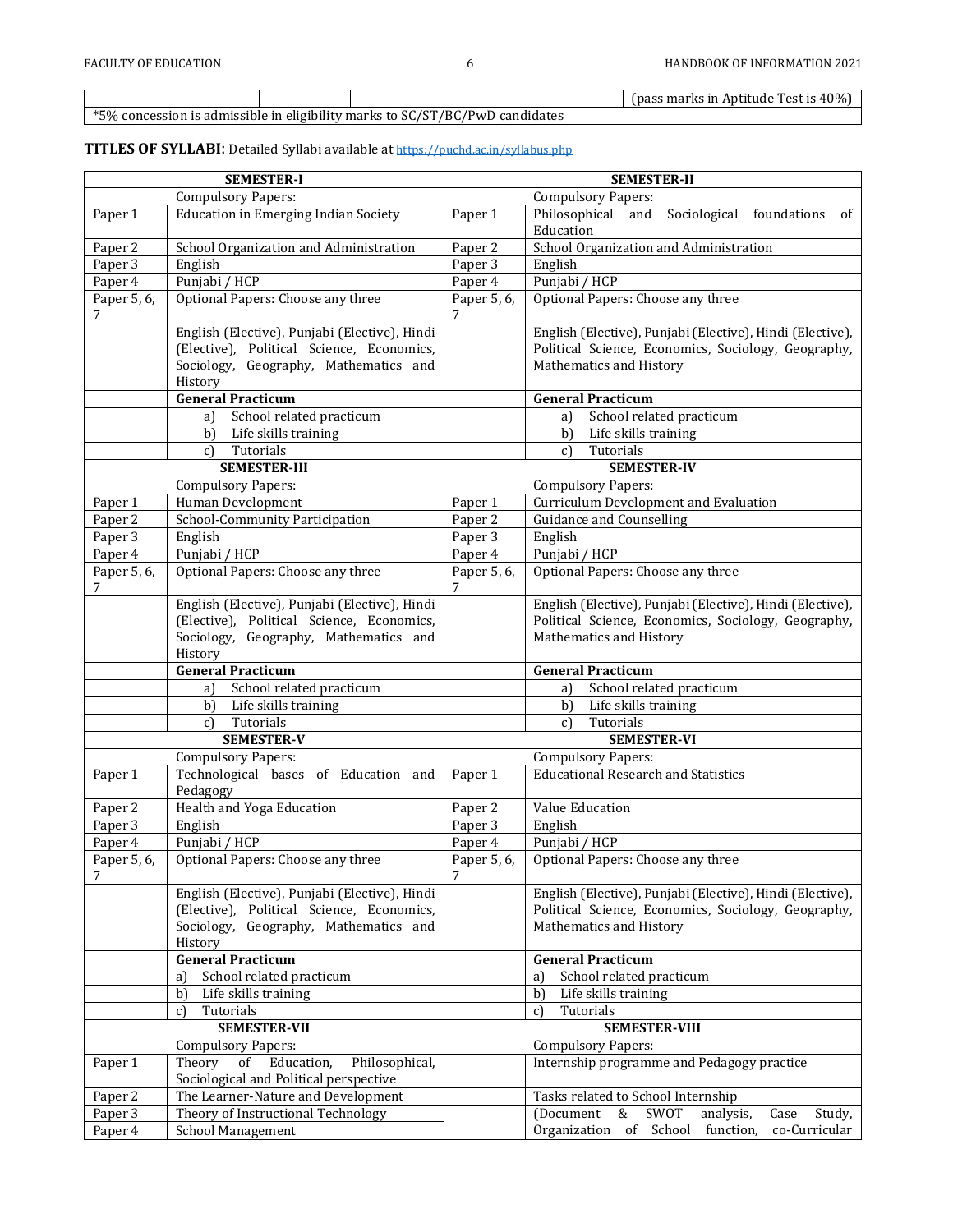(pass marks in Aptitude Test is 40%)

\*5% concession is admissible in eligibility marks to SC/ST/BC/PwD candidates

## **TITLES OF SYLLABI**: Detailed Syllabi available at <https://puchd.ac.in/syllabus.php>

|                  | <b>SEMESTER-I</b>                                | <b>SEMESTER-II</b>            |                                                                     |  |  |
|------------------|--------------------------------------------------|-------------------------------|---------------------------------------------------------------------|--|--|
|                  | <b>Compulsory Papers:</b>                        | <b>Compulsory Papers:</b>     |                                                                     |  |  |
| Paper 1          | <b>Education in Emerging Indian Society</b>      | Paper 1                       | Philosophical<br>Sociological foundations<br>and<br>of<br>Education |  |  |
| Paper 2          | School Organization and Administration           | Paper 2                       | School Organization and Administration                              |  |  |
| Paper 3          | English                                          | Paper 3                       | English                                                             |  |  |
| Paper 4          | Punjabi / HCP                                    | Paper 4                       | Punjabi / HCP                                                       |  |  |
| Paper 5, 6,      | Optional Papers: Choose any three                | Paper 5, 6,                   | Optional Papers: Choose any three                                   |  |  |
| 7                |                                                  | 7                             |                                                                     |  |  |
|                  | English (Elective), Punjabi (Elective), Hindi    |                               | English (Elective), Punjabi (Elective), Hindi (Elective),           |  |  |
|                  | (Elective), Political Science, Economics,        |                               | Political Science, Economics, Sociology, Geography,                 |  |  |
|                  | Sociology, Geography, Mathematics and            |                               | Mathematics and History                                             |  |  |
|                  | History                                          |                               |                                                                     |  |  |
|                  | <b>General Practicum</b>                         |                               | <b>General Practicum</b>                                            |  |  |
|                  | School related practicum<br>a)                   |                               | School related practicum<br>a)                                      |  |  |
|                  | Life skills training<br>b)                       |                               | Life skills training<br>b)                                          |  |  |
|                  | Tutorials<br>$c$ )                               |                               | Tutorials<br>$\mathbf{c}$                                           |  |  |
|                  | <b>SEMESTER-III</b>                              |                               | <b>SEMESTER-IV</b>                                                  |  |  |
|                  | <b>Compulsory Papers:</b>                        |                               | <b>Compulsory Papers:</b>                                           |  |  |
| Paper 1          | Human Development                                | Paper 1                       | Curriculum Development and Evaluation                               |  |  |
| Paper 2          | School-Community Participation                   | Paper 2<br>Paper 3            | <b>Guidance and Counselling</b>                                     |  |  |
| Paper 3          | English                                          |                               | English                                                             |  |  |
| Paper 4          | Punjabi / HCP                                    | Paper 4                       | Punjabi / HCP                                                       |  |  |
| Paper 5, 6,<br>7 | Optional Papers: Choose any three                | Paper 5, 6,                   | Optional Papers: Choose any three                                   |  |  |
|                  | English (Elective), Punjabi (Elective), Hindi    |                               | English (Elective), Punjabi (Elective), Hindi (Elective),           |  |  |
|                  | (Elective), Political Science, Economics,        |                               | Political Science, Economics, Sociology, Geography,                 |  |  |
|                  | Sociology, Geography, Mathematics and<br>History |                               | Mathematics and History                                             |  |  |
|                  | <b>General Practicum</b>                         |                               | <b>General Practicum</b>                                            |  |  |
|                  | School related practicum<br>a)                   |                               | School related practicum<br>a)                                      |  |  |
|                  | b)<br>Life skills training                       |                               | b)<br>Life skills training                                          |  |  |
|                  | Tutorials<br>$c$ )                               |                               | Tutorials<br>$\mathbf{c}$                                           |  |  |
|                  | <b>SEMESTER-V</b>                                |                               | <b>SEMESTER-VI</b>                                                  |  |  |
|                  | <b>Compulsory Papers:</b>                        |                               | <b>Compulsory Papers:</b>                                           |  |  |
| Paper 1          | Technological bases of Education and<br>Pedagogy | Paper 1                       | <b>Educational Research and Statistics</b>                          |  |  |
| Paper 2          | Health and Yoga Education                        | Paper 2                       | Value Education                                                     |  |  |
| Paper 3          | English                                          | Paper 3                       | English                                                             |  |  |
| Paper 4          | Punjabi / HCP                                    | Paper 4                       | Punjabi / HCP                                                       |  |  |
| Paper 5, 6,<br>7 | Optional Papers: Choose any three                | Paper 5, 6,<br>$\overline{7}$ | Optional Papers: Choose any three                                   |  |  |
|                  | English (Elective), Punjabi (Elective), Hindi    |                               | English (Elective), Punjabi (Elective), Hindi (Elective),           |  |  |
|                  | (Elective), Political Science, Economics,        |                               | Political Science, Economics, Sociology, Geography,                 |  |  |
|                  | Sociology, Geography, Mathematics and            |                               | Mathematics and History                                             |  |  |
|                  | History                                          |                               |                                                                     |  |  |
|                  | <b>General Practicum</b>                         |                               | <b>General Practicum</b>                                            |  |  |
|                  | School related practicum<br>a)                   |                               | School related practicum<br>a)                                      |  |  |
|                  | $\mathbf{b}$<br>Life skills training             |                               | b)<br>Life skills training                                          |  |  |
|                  | Tutorials<br>c)                                  |                               | Tutorials<br>c)                                                     |  |  |
|                  | <b>SEMESTER-VII</b>                              |                               | <b>SEMESTER-VIII</b>                                                |  |  |
|                  | <b>Compulsory Papers:</b>                        |                               | <b>Compulsory Papers:</b>                                           |  |  |
| Paper 1          | Theory<br>Education,<br>Philosophical,<br>of     |                               | Internship programme and Pedagogy practice                          |  |  |
|                  | Sociological and Political perspective           |                               |                                                                     |  |  |
| Paper 2          | The Learner-Nature and Development               |                               | Tasks related to School Internship                                  |  |  |
| Paper 3          | Theory of Instructional Technology               |                               | (Document<br>&<br>SWOT<br>analysis,<br>Case<br>Study,               |  |  |
| Paper 4          | <b>School Management</b>                         |                               | Organization<br>of School<br>co-Curricular<br>function,             |  |  |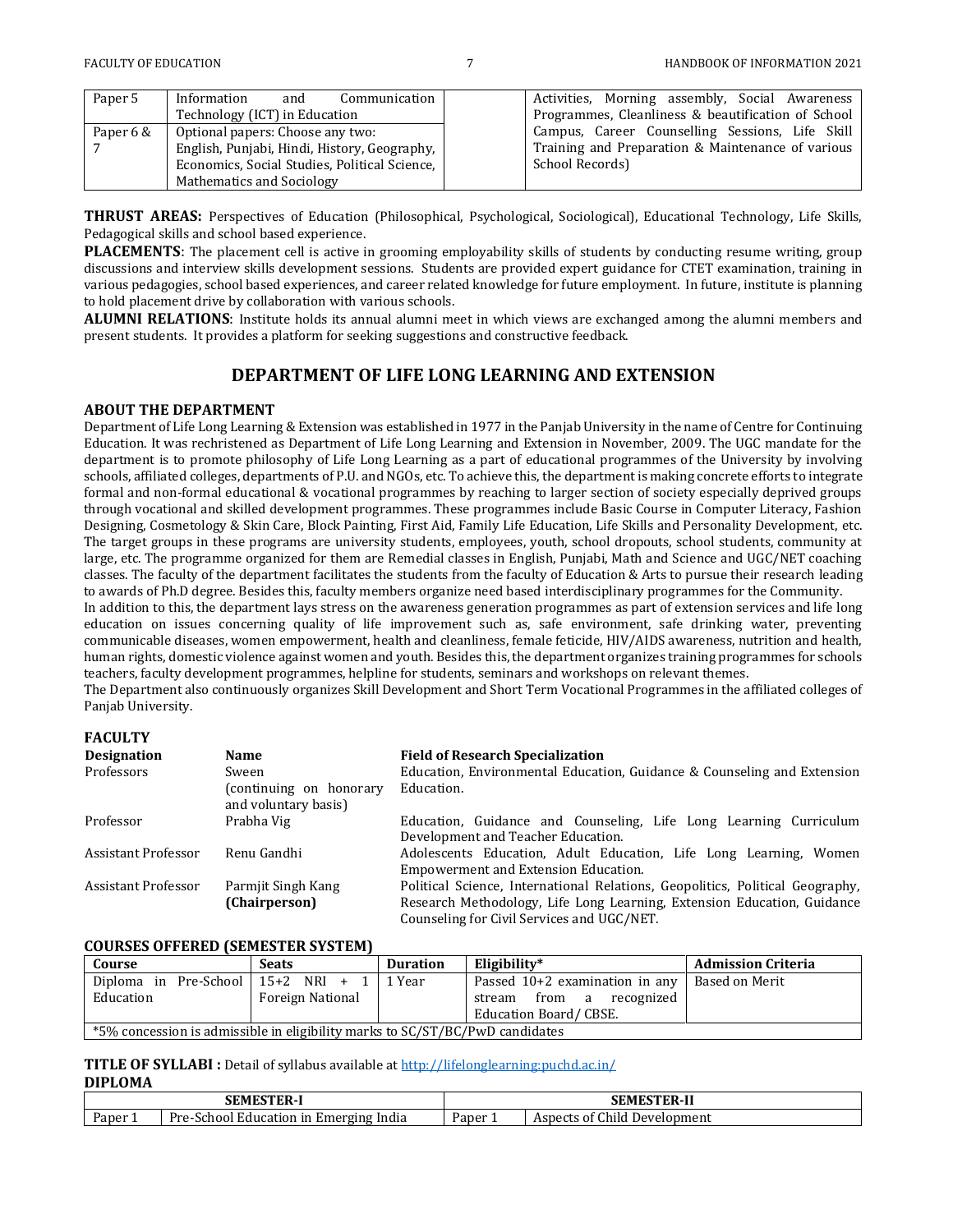| Paper 5   | Information<br>and<br>Communication           | Activities, Morning assembly, Social Awareness     |
|-----------|-----------------------------------------------|----------------------------------------------------|
|           | Technology (ICT) in Education                 | Programmes, Cleanliness & beautification of School |
| Paper 6 & | Optional papers: Choose any two:              | Campus, Career Counselling Sessions, Life Skill    |
|           | English, Punjabi, Hindi, History, Geography,  | Training and Preparation & Maintenance of various  |
|           | Economics, Social Studies, Political Science, | School Records)                                    |
|           | Mathematics and Sociology                     |                                                    |

**THRUST AREAS:** Perspectives of Education (Philosophical, Psychological, Sociological), Educational Technology, Life Skills, Pedagogical skills and school based experience.

**PLACEMENTS**: The placement cell is active in grooming employability skills of students by conducting resume writing, group discussions and interview skills development sessions. Students are provided expert guidance for CTET examination, training in various pedagogies, school based experiences, and career related knowledge for future employment. In future, institute is planning to hold placement drive by collaboration with various schools.

**ALUMNI RELATIONS**: Institute holds its annual alumni meet in which views are exchanged among the alumni members and present students. It provides a platform for seeking suggestions and constructive feedback.

## **DEPARTMENT OF LIFE LONG LEARNING AND EXTENSION**

#### **ABOUT THE DEPARTMENT**

Department of Life Long Learning & Extension was established in 1977 in the Panjab University in the name of Centre for Continuing Education. It was rechristened as Department of Life Long Learning and Extension in November, 2009. The UGC mandate for the department is to promote philosophy of Life Long Learning as a part of educational programmes of the University by involving schools, affiliated colleges, departments of P.U. and NGOs, etc. To achieve this, the department is making concrete efforts to integrate formal and non-formal educational & vocational programmes by reaching to larger section of society especially deprived groups through vocational and skilled development programmes. These programmes include Basic Course in Computer Literacy, Fashion Designing, Cosmetology & Skin Care, Block Painting, First Aid, Family Life Education, Life Skills and Personality Development, etc. The target groups in these programs are university students, employees, youth, school dropouts, school students, community at large, etc. The programme organized for them are Remedial classes in English, Punjabi, Math and Science and UGC/NET coaching classes. The faculty of the department facilitates the students from the faculty of Education & Arts to pursue their research leading to awards of Ph.D degree. Besides this, faculty members organize need based interdisciplinary programmes for the Community.

In addition to this, the department lays stress on the awareness generation programmes as part of extension services and life long education on issues concerning quality of life improvement such as, safe environment, safe drinking water, preventing communicable diseases, women empowerment, health and cleanliness, female feticide, HIV/AIDS awareness, nutrition and health, human rights, domestic violence against women and youth. Besides this, the department organizes training programmes for schools teachers, faculty development programmes, helpline for students, seminars and workshops on relevant themes.

The Department also continuously organizes Skill Development and Short Term Vocational Programmes in the affiliated colleges of Panjab University.

## **FACULTY**

| <b>Designation</b>  | Name                                            | <b>Field of Research Specialization</b>                                       |
|---------------------|-------------------------------------------------|-------------------------------------------------------------------------------|
| Professors          | Sween                                           | Education, Environmental Education, Guidance & Counseling and Extension       |
|                     | (continuing on honorary<br>and voluntary basis) | Education.                                                                    |
| Professor           | Prabha Vig                                      | Education, Guidance and Counseling, Life Long Learning Curriculum             |
|                     |                                                 | Development and Teacher Education.                                            |
| Assistant Professor | Renu Gandhi                                     | Adolescents Education, Adult Education, Life Long Learning, Women             |
|                     |                                                 | Empowerment and Extension Education.                                          |
| Assistant Professor | Parmjit Singh Kang                              | Political Science, International Relations, Geopolitics, Political Geography, |
|                     | (Chairperson)                                   | Research Methodology, Life Long Learning, Extension Education, Guidance       |
|                     |                                                 | Counseling for Civil Services and UGC/NET.                                    |

#### **COURSES OFFERED (SEMESTER SYSTEM)**

| Course                                                                       | <b>Seats</b>          | <b>Duration</b>                | Eligibility*                   | <b>Admission Criteria</b> |  |
|------------------------------------------------------------------------------|-----------------------|--------------------------------|--------------------------------|---------------------------|--|
| Diploma in Pre-School   $15+2$ NRI + 1                                       |                       | 1 Year                         | Passed 10+2 examination in any | Based on Merit            |  |
| Education                                                                    | Foreign National      | from a<br>recognized<br>stream |                                |                           |  |
|                                                                              | Education Board/CBSE. |                                |                                |                           |  |
| *5% concession is admissible in eligibility marks to SC/ST/BC/PwD candidates |                       |                                |                                |                           |  |

#### **TITLE OF SYLLABI :** Detail of syllabus available at<http://lifelonglearning:puchd.ac.in/> **DIPLOMA**

| <b>SEMESTER-I</b> |                                        | <b>SEMESTER-II</b> |                              |  |
|-------------------|----------------------------------------|--------------------|------------------------------|--|
| Paper 1           | Pre-School Education in Emerging India | Paper $\lrcorner$  | Aspects of Child Development |  |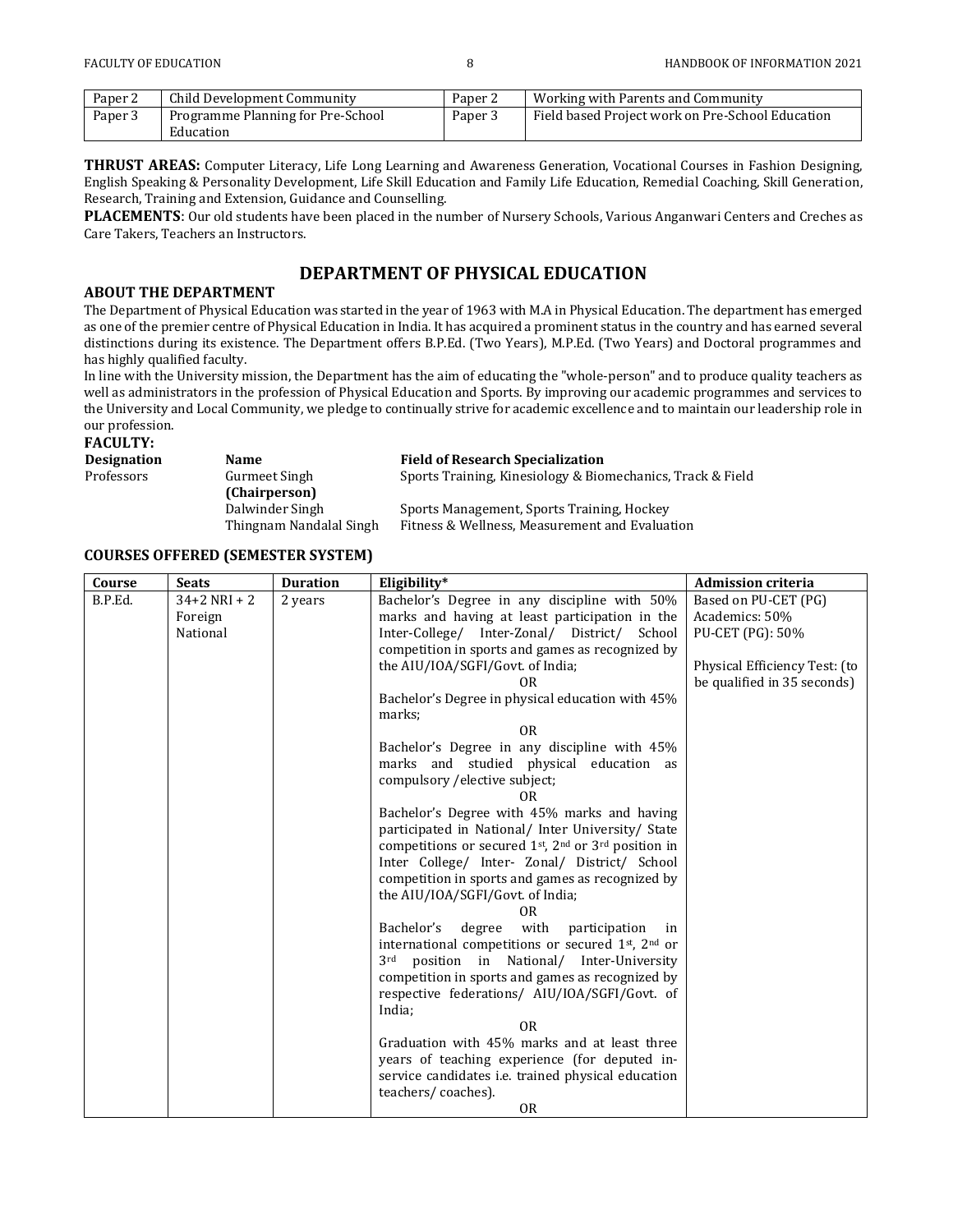| Paper <sub>2</sub> | Child Development Community       | Paper 2 | <b>Working with Parents and Community</b>        |
|--------------------|-----------------------------------|---------|--------------------------------------------------|
| Paper 3            | Programme Planning for Pre-School | Paper.  | Field based Project work on Pre-School Education |
|                    | Education                         |         |                                                  |

**THRUST AREAS:** Computer Literacy, Life Long Learning and Awareness Generation, Vocational Courses in Fashion Designing, English Speaking & Personality Development, Life Skill Education and Family Life Education, Remedial Coaching, Skill Generation, Research, Training and Extension, Guidance and Counselling.

**PLACEMENTS**: Our old students have been placed in the number of Nursery Schools, Various Anganwari Centers and Creches as Care Takers, Teachers an Instructors.

## **DEPARTMENT OF PHYSICAL EDUCATION**

## **ABOUT THE DEPARTMENT**

The Department of Physical Education was started in the year of 1963 with M.A in Physical Education. The department has emerged as one of the premier centre of Physical Education in India. It has acquired a prominent status in the country and has earned several distinctions during its existence. The Department offers B.P.Ed. (Two Years), M.P.Ed. (Two Years) and Doctoral programmes and has highly qualified faculty.

In line with the University mission, the Department has the aim of educating the "whole-person" and to produce quality teachers as well as administrators in the profession of Physical Education and Sports. By improving our academic programmes and services to the University and Local Community, we pledge to continually strive for academic excellence and to maintain our leadership role in our profession.

**FACULTY:**

| Designation | <b>Name</b>             | <b>Field of Research Specialization</b>                    |  |  |
|-------------|-------------------------|------------------------------------------------------------|--|--|
| Professors  | Gurmeet Singh           | Sports Training, Kinesiology & Biomechanics, Track & Field |  |  |
|             | (Chairperson)           |                                                            |  |  |
|             | Dalwinder Singh         | Sports Management, Sports Training, Hockey                 |  |  |
|             | Thingnam Nandalal Singh | Fitness & Wellness, Measurement and Evaluation             |  |  |

## **COURSES OFFERED (SEMESTER SYSTEM)**

| Course  | <b>Seats</b>     | <b>Duration</b> | Eligibility*                                               | <b>Admission criteria</b>     |
|---------|------------------|-----------------|------------------------------------------------------------|-------------------------------|
| B.P.Ed. | $34 + 2$ NRI + 2 | 2 years         | Bachelor's Degree in any discipline with 50%               | Based on PU-CET (PG)          |
|         | Foreign          |                 | marks and having at least participation in the             | Academics: 50%                |
|         | National         |                 | Inter-College/ Inter-Zonal/ District/ School               | PU-CET (PG): 50%              |
|         |                  |                 | competition in sports and games as recognized by           |                               |
|         |                  |                 | the AIU/IOA/SGFI/Govt. of India;                           | Physical Efficiency Test: (to |
|         |                  |                 | 0R.                                                        | be qualified in 35 seconds)   |
|         |                  |                 | Bachelor's Degree in physical education with 45%<br>marks; |                               |
|         |                  |                 | 0 <sub>R</sub>                                             |                               |
|         |                  |                 | Bachelor's Degree in any discipline with 45%               |                               |
|         |                  |                 | marks and studied physical education as                    |                               |
|         |                  |                 | compulsory / elective subject;<br>0R                       |                               |
|         |                  |                 | Bachelor's Degree with 45% marks and having                |                               |
|         |                  |                 | participated in National/ Inter University/ State          |                               |
|         |                  |                 | competitions or secured 1st, 2nd or 3rd position in        |                               |
|         |                  |                 | Inter College/ Inter- Zonal/ District/ School              |                               |
|         |                  |                 | competition in sports and games as recognized by           |                               |
|         |                  |                 | the AIU/IOA/SGFI/Govt. of India;                           |                               |
|         |                  |                 | 0R                                                         |                               |
|         |                  |                 | with<br>degree<br>Bachelor's<br>participation<br>in        |                               |
|         |                  |                 | international competitions or secured 1st, 2nd or          |                               |
|         |                  |                 | position in National/ Inter-University<br>3rd              |                               |
|         |                  |                 | competition in sports and games as recognized by           |                               |
|         |                  |                 | respective federations/ AIU/IOA/SGFI/Govt. of              |                               |
|         |                  |                 | India;<br>0 <sub>R</sub>                                   |                               |
|         |                  |                 | Graduation with 45% marks and at least three               |                               |
|         |                  |                 | years of teaching experience (for deputed in-              |                               |
|         |                  |                 | service candidates <i>i.e.</i> trained physical education  |                               |
|         |                  |                 | teachers/coaches).                                         |                               |
|         |                  |                 | <b>OR</b>                                                  |                               |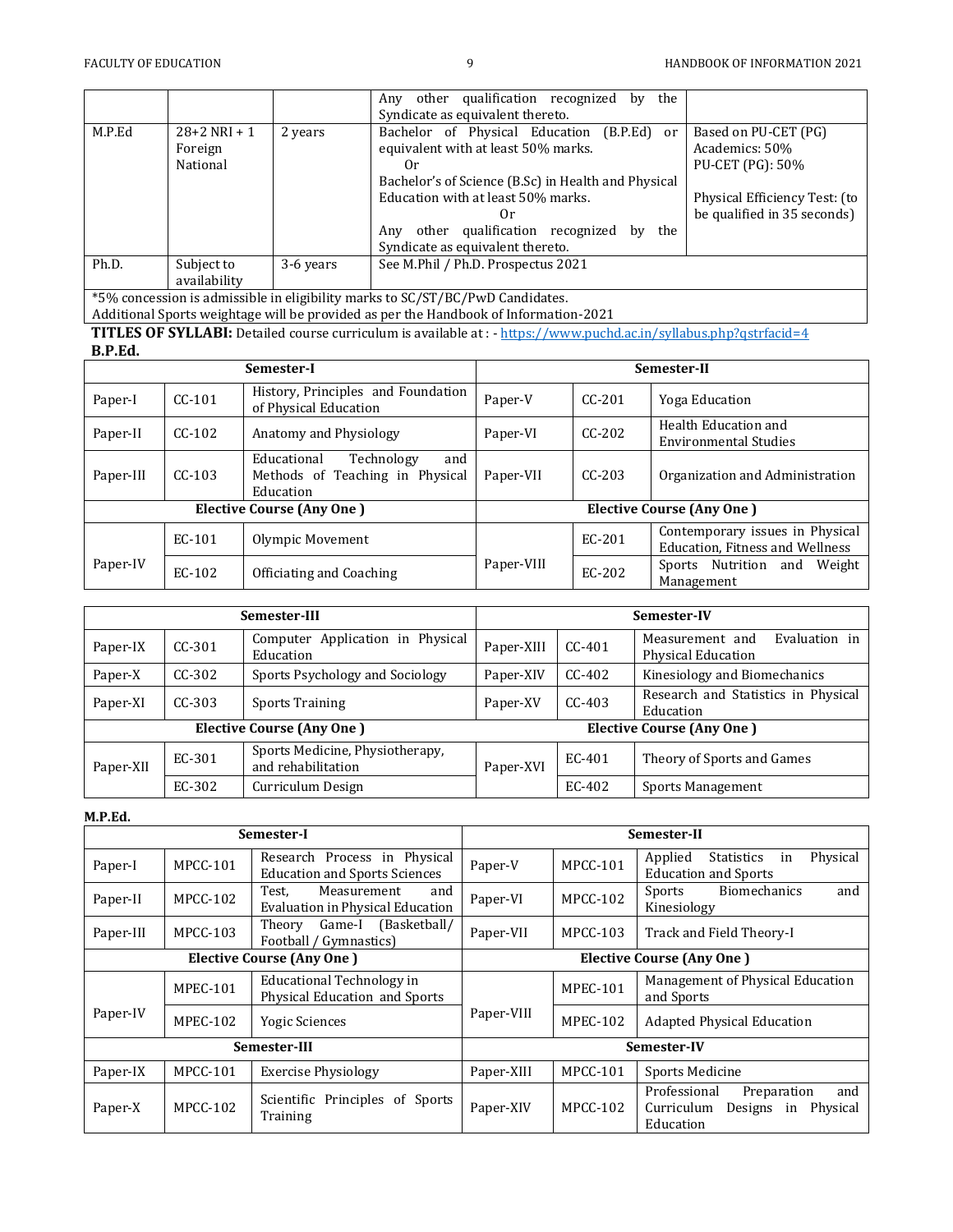|                                                                                                                       |                |           | the<br>Any other qualification recognized<br>by     |                               |
|-----------------------------------------------------------------------------------------------------------------------|----------------|-----------|-----------------------------------------------------|-------------------------------|
|                                                                                                                       |                |           | Syndicate as equivalent thereto.                    |                               |
| M.P.Ed                                                                                                                | $28+2$ NRI + 1 | 2 years   | Bachelor of Physical Education<br>$(B.P.Ed)$ or     | Based on PU-CET (PG)          |
|                                                                                                                       | Foreign        |           | equivalent with at least 50% marks.                 | Academics: 50%                |
|                                                                                                                       | National       |           | $_{0r}$                                             | PU-CET (PG): 50%              |
|                                                                                                                       |                |           | Bachelor's of Science (B.Sc) in Health and Physical |                               |
|                                                                                                                       |                |           | Education with at least 50% marks.                  | Physical Efficiency Test: (to |
|                                                                                                                       |                |           | $_{0r}$                                             | be qualified in 35 seconds)   |
|                                                                                                                       |                |           | other qualification recognized<br>the<br>bv<br>Anv  |                               |
|                                                                                                                       |                |           | Syndicate as equivalent thereto.                    |                               |
| Ph.D.                                                                                                                 | Subject to     | 3-6 years | See M.Phil / Ph.D. Prospectus 2021                  |                               |
|                                                                                                                       | availability   |           |                                                     |                               |
| $\star$ = $\alpha$ , $\alpha$ , $\alpha$ , $\alpha$ , $\alpha$ , $\alpha$ , $\alpha$ , $\alpha$ , $\alpha$ , $\alpha$ |                |           |                                                     |                               |

\*5% concession is admissible in eligibility marks to SC/ST/BC/PwD Candidates. Additional Sports weightage will be provided as per the Handbook of Information-2021

**TITLES OF SYLLABI:** Detailed course curriculum is available at : - <https://www.puchd.ac.in/syllabus.php?qstrfacid=4> **B.P.Ed.** 

| рн ни                            |          |                                                                                  |                                  |             |                                                                    |
|----------------------------------|----------|----------------------------------------------------------------------------------|----------------------------------|-------------|--------------------------------------------------------------------|
| Semester-I                       |          |                                                                                  | Semester-II                      |             |                                                                    |
| Paper-I                          | $CC-101$ | History, Principles and Foundation<br>of Physical Education                      | Paper-V                          | $C C - 201$ | Yoga Education                                                     |
| Paper-II                         | $CC-102$ | Anatomy and Physiology                                                           | Paper-VI                         | $CC-202$    | Health Education and<br><b>Environmental Studies</b>               |
| Paper-III                        | $CC-103$ | and<br>Educational<br>Technology<br>Methods of Teaching in Physical<br>Education |                                  | $C C - 203$ | Organization and Administration                                    |
| <b>Elective Course (Any One)</b> |          |                                                                                  | <b>Elective Course (Any One)</b> |             |                                                                    |
|                                  | EC-101   | Olympic Movement                                                                 |                                  | EC-201      | Contemporary issues in Physical<br>Education, Fitness and Wellness |
| Paper-IV                         | EC-102   | Officiating and Coaching                                                         | Paper-VIII                       | EC-202      | Nutrition<br>Weight<br>and<br>Sports<br>Management                 |

| Semester-III |          |                                                       | Semester-IV                      |          |                                                               |
|--------------|----------|-------------------------------------------------------|----------------------------------|----------|---------------------------------------------------------------|
| Paper-IX     | $CC-301$ | Application in Physical<br>Computer<br>Education      | Paper-XIII                       | $CC-401$ | Evaluation in<br>Measurement and<br><b>Physical Education</b> |
| Paper-X      | $CC-302$ | Sports Psychology and Sociology                       | Paper-XIV                        | CC-402   | Kinesiology and Biomechanics                                  |
| Paper-XI     | $CC-303$ | <b>Sports Training</b>                                | Paper-XV                         | CC-403   | Research and Statistics in Physical<br>Education              |
|              |          | <b>Elective Course (Any One)</b>                      | <b>Elective Course (Any One)</b> |          |                                                               |
| Paper-XII    | EC-301   | Sports Medicine, Physiotherapy,<br>and rehabilitation | Paper-XVI                        | EC-401   | Theory of Sports and Games                                    |
|              | EC-302   | Curriculum Design                                     |                                  | EC-402   | Sports Management                                             |

## **M.P.Ed.**

|                                  |                 | Semester-I                                                           | Semester-II                      |                 |                                                                                            |
|----------------------------------|-----------------|----------------------------------------------------------------------|----------------------------------|-----------------|--------------------------------------------------------------------------------------------|
| Paper-I                          | <b>MPCC-101</b> | Research Process in Physical<br><b>Education and Sports Sciences</b> | Paper-V                          | <b>MPCC-101</b> | Physical<br>Applied<br><b>Statistics</b><br>in<br><b>Education and Sports</b>              |
| Paper-II                         | <b>MPCC-102</b> | Measurement<br>Test,<br>and<br>Evaluation in Physical Education      | Paper-VI                         | <b>MPCC-102</b> | Sports<br>Biomechanics<br>and<br>Kinesiology                                               |
| Paper-III                        | <b>MPCC-103</b> | Game-I (Basketball/<br>Theory<br>Football / Gymnastics)              | Paper-VII                        | MPCC-103        | Track and Field Theory-I                                                                   |
| <b>Elective Course (Any One)</b> |                 |                                                                      | <b>Elective Course (Any One)</b> |                 |                                                                                            |
|                                  | <b>MPEC-101</b> | <b>Educational Technology in</b><br>Physical Education and Sports    |                                  | MPEC-101        | Management of Physical Education<br>and Sports                                             |
| Paper-IV                         | MPEC-102        | <b>Yogic Sciences</b>                                                | Paper-VIII                       | MPEC-102        | <b>Adapted Physical Education</b>                                                          |
|                                  |                 | Semester-III                                                         | Semester-IV                      |                 |                                                                                            |
| Paper-IX                         | <b>MPCC-101</b> | <b>Exercise Physiology</b>                                           | Paper-XIII                       | MPCC-101        | Sports Medicine                                                                            |
| Paper-X                          | <b>MPCC-102</b> | Scientific Principles of Sports<br>Training                          | Paper-XIV                        | <b>MPCC-102</b> | Professional<br>and<br>Preparation<br>Curriculum<br>Designs<br>Physical<br>in<br>Education |